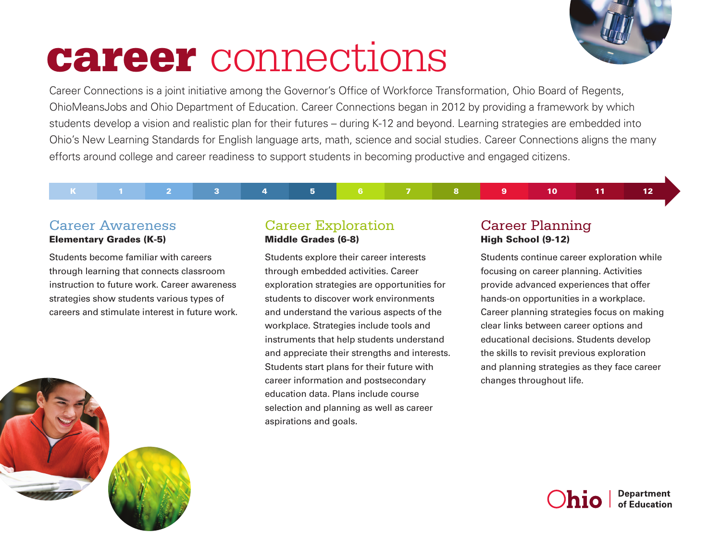

# career connections

Career Connections is a joint initiative among the Governor's Office of Workforce Transformation, Ohio Board of Regents, OhioMeansJobs and Ohio Department of Education. Career Connections began in 2012 by providing a framework by which students develop a vision and realistic plan for their futures – during K-12 and beyond. Learning strategies are embedded into Ohio's New Learning Standards for English language arts, math, science and social studies. Career Connections aligns the many efforts around college and career readiness to support students in becoming productive and engaged citizens.

K 1 2 3 4 5 6 7 8 9 10 11 12

### Career Awareness Elementary Grades (K-5)

Students become familiar with careers through learning that connects classroom instruction to future work. Career awareness strategies show students various types of careers and stimulate interest in future work.



## Career Exploration Middle Grades (6-8)

Students explore their career interests through embedded activities. Career exploration strategies are opportunities for students to discover work environments and understand the various aspects of the workplace. Strategies include tools and instruments that help students understand and appreciate their strengths and interests. Students start plans for their future with career information and postsecondary education data. Plans include course selection and planning as well as career aspirations and goals.

# Career Planning High School (9-12)

Students continue career exploration while focusing on career planning. Activities provide advanced experiences that offer hands-on opportunities in a workplace. Career planning strategies focus on making clear links between career options and educational decisions. Students develop the skills to revisit previous exploration and planning strategies as they face career changes throughout life.